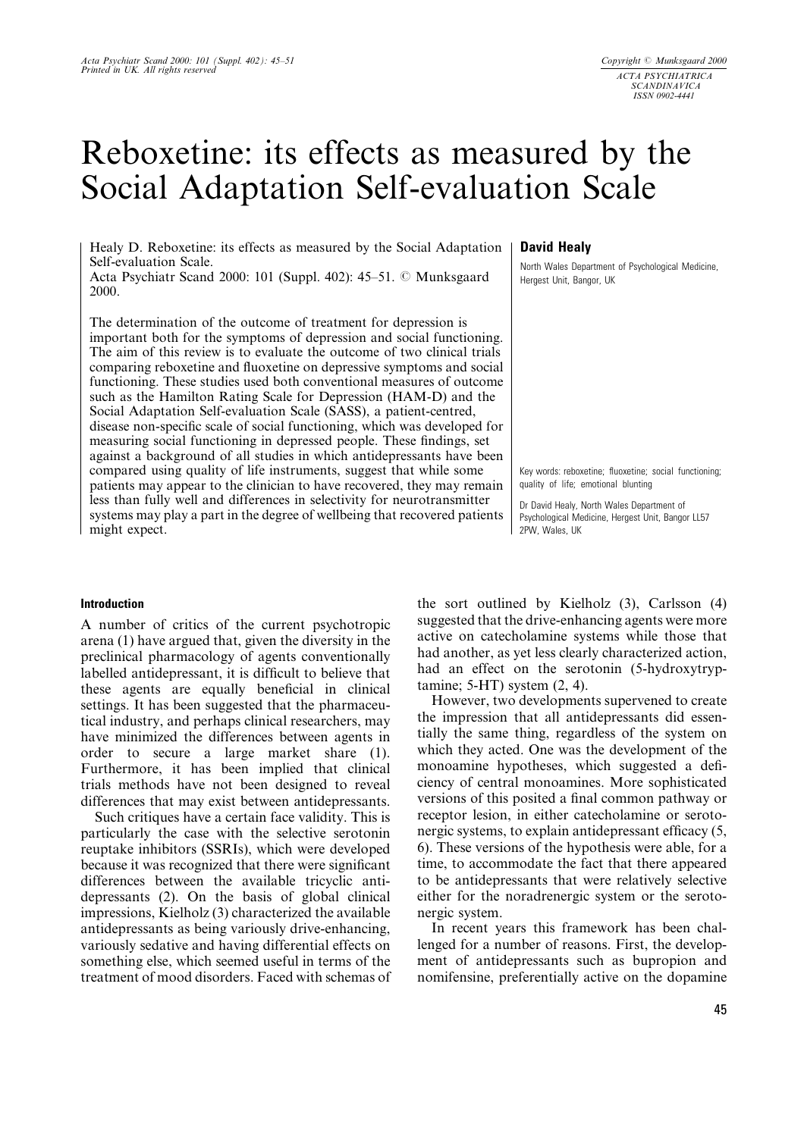# Reboxetine: its effects as measured by the Social Adaptation Self-evaluation Scale

Healy D. Reboxetine: its effects as measured by the Social Adaptation Self-evaluation Scale.

Acta Psychiatr Scand 2000: 101 (Suppl. 402): 45–51. © Munksgaard 2000.

The determination of the outcome of treatment for depression is important both for the symptoms of depression and social functioning. The aim of this review is to evaluate the outcome of two clinical trials comparing reboxetine and fluoxetine on depressive symptoms and social functioning. These studies used both conventional measures of outcome such as the Hamilton Rating Scale for Depression (HAM-D) and the Social Adaptation Self-evaluation Scale (SASS), a patient-centred, disease non-specific scale of social functioning, which was developed for measuring social functioning in depressed people. These findings, set against a background of all studies in which antidepressants have been compared using quality of life instruments, suggest that while some patients may appear to the clinician to have recovered, they may remain less than fully well and differences in selectivity for neurotransmitter systems may play a part in the degree of wellbeing that recovered patients might expect.

# Introduction

A number of critics of the current psychotropic arena (1) have argued that, given the diversity in the preclinical pharmacology of agents conventionally labelled antidepressant, it is difficult to believe that these agents are equally beneficial in clinical settings. It has been suggested that the pharmaceutical industry, and perhaps clinical researchers, may have minimized the differences between agents in order to secure a large market share (1). Furthermore, it has been implied that clinical trials methods have not been designed to reveal differences that may exist between antidepressants.

Such critiques have a certain face validity. This is particularly the case with the selective serotonin reuptake inhibitors (SSRIs), which were developed because it was recognized that there were significant differences between the available tricyclic antidepressants (2). On the basis of global clinical impressions, Kielholz (3) characterized the available antidepressants as being variously drive-enhancing, variously sedative and having differential effects on something else, which seemed useful in terms of the treatment of mood disorders. Faced with schemas of

# David Healy

North Wales Department of Psychological Medicine, Hergest Unit, Bangor, UK

Key words: reboxetine; fluoxetine; social functioning; quality of life; emotional blunting

Dr David Healy, North Wales Department of Psychological Medicine, Hergest Unit, Bangor LL57 2PW, Wales, UK

the sort outlined by Kielholz (3), Carlsson (4) suggested that the drive-enhancing agents were more active on catecholamine systems while those that had another, as yet less clearly characterized action, had an effect on the serotonin (5-hydroxytryptamine; 5-HT) system (2, 4).

However, two developments supervened to create the impression that all antidepressants did essentially the same thing, regardless of the system on which they acted. One was the development of the monoamine hypotheses, which suggested a deficiency of central monoamines. More sophisticated versions of this posited a final common pathway or receptor lesion, in either catecholamine or serotonergic systems, to explain antidepressant efficacy  $(5, 6)$ 6). These versions of the hypothesis were able, for a time, to accommodate the fact that there appeared to be antidepressants that were relatively selective either for the noradrenergic system or the serotonergic system.

In recent years this framework has been challenged for a number of reasons. First, the development of antidepressants such as bupropion and nomifensine, preferentially active on the dopamine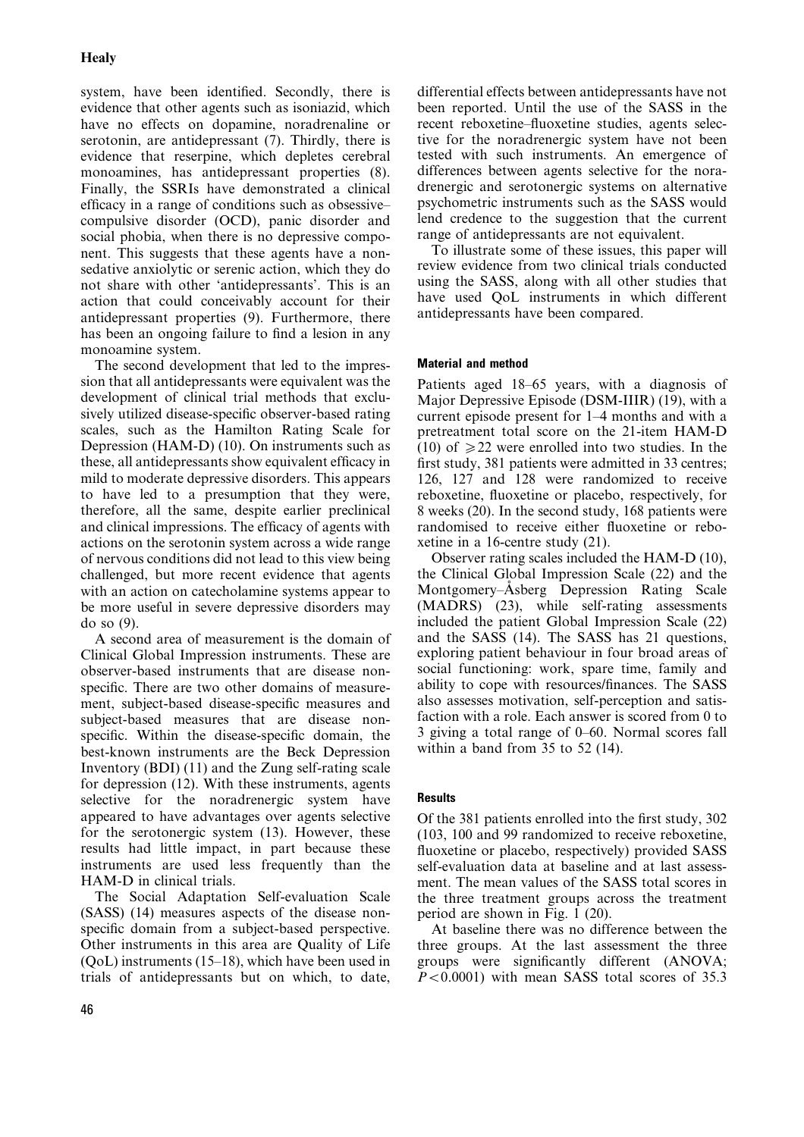system, have been identified. Secondly, there is evidence that other agents such as isoniazid, which have no effects on dopamine, noradrenaline or serotonin, are antidepressant (7). Thirdly, there is evidence that reserpine, which depletes cerebral monoamines, has antidepressant properties (8). Finally, the SSRIs have demonstrated a clinical efficacy in a range of conditions such as obsessivecompulsive disorder (OCD), panic disorder and social phobia, when there is no depressive component. This suggests that these agents have a nonsedative anxiolytic or serenic action, which they do not share with other `antidepressants'. This is an action that could conceivably account for their antidepressant properties (9). Furthermore, there has been an ongoing failure to find a lesion in any monoamine system.

The second development that led to the impression that all antidepressants were equivalent was the development of clinical trial methods that exclusively utilized disease-specific observer-based rating scales, such as the Hamilton Rating Scale for Depression (HAM-D) (10). On instruments such as these, all antidepressants show equivalent efficacy in mild to moderate depressive disorders. This appears to have led to a presumption that they were, therefore, all the same, despite earlier preclinical and clinical impressions. The efficacy of agents with actions on the serotonin system across a wide range of nervous conditions did not lead to this view being challenged, but more recent evidence that agents with an action on catecholamine systems appear to be more useful in severe depressive disorders may do so (9).

A second area of measurement is the domain of Clinical Global Impression instruments. These are observer-based instruments that are disease nonspecific. There are two other domains of measurement, subject-based disease-specific measures and subject-based measures that are disease nonspecific. Within the disease-specific domain, the best-known instruments are the Beck Depression Inventory (BDI) (11) and the Zung self-rating scale for depression (12). With these instruments, agents selective for the noradrenergic system have appeared to have advantages over agents selective for the serotonergic system (13). However, these results had little impact, in part because these instruments are used less frequently than the HAM-D in clinical trials.

The Social Adaptation Self-evaluation Scale (SASS) (14) measures aspects of the disease nonspecific domain from a subject-based perspective. Other instruments in this area are Quality of Life  $(QoL)$  instruments (15–18), which have been used in trials of antidepressants but on which, to date,

differential effects between antidepressants have not been reported. Until the use of the SASS in the recent reboxetine-fluoxetine studies, agents selective for the noradrenergic system have not been tested with such instruments. An emergence of differences between agents selective for the noradrenergic and serotonergic systems on alternative psychometric instruments such as the SASS would lend credence to the suggestion that the current range of antidepressants are not equivalent.

To illustrate some of these issues, this paper will review evidence from two clinical trials conducted using the SASS, along with all other studies that have used QoL instruments in which different antidepressants have been compared.

# Material and method

Patients aged 18-65 years, with a diagnosis of Major Depressive Episode (DSM-IIIR) (19), with a current episode present for  $1-4$  months and with a pretreatment total score on the 21-item HAM-D (10) of  $\geq$  22 were enrolled into two studies. In the first study, 381 patients were admitted in 33 centres; 126, 127 and 128 were randomized to receive reboxetine, fluoxetine or placebo, respectively, for 8 weeks (20). In the second study, 168 patients were randomised to receive either fluoxetine or reboxetine in a 16-centre study (21).

Observer rating scales included the HAM-D (10), the Clinical Global Impression Scale (22) and the Montgomery-Asberg Depression Rating Scale (MADRS) (23), while self-rating assessments included the patient Global Impression Scale (22) and the SASS (14). The SASS has 21 questions, exploring patient behaviour in four broad areas of social functioning: work, spare time, family and ability to cope with resources/finances. The SASS also assesses motivation, self-perception and satisfaction with a role. Each answer is scored from 0 to 3 giving a total range of  $0-60$ . Normal scores fall within a band from 35 to 52 (14).

# **Results**

Of the 381 patients enrolled into the first study, 302 (103, 100 and 99 randomized to receive reboxetine, fluoxetine or placebo, respectively) provided SASS self-evaluation data at baseline and at last assessment. The mean values of the SASS total scores in the three treatment groups across the treatment period are shown in Fig. 1 (20).

At baseline there was no difference between the three groups. At the last assessment the three groups were significantly different (ANOVA;  $P < 0.0001$ ) with mean SASS total scores of 35.3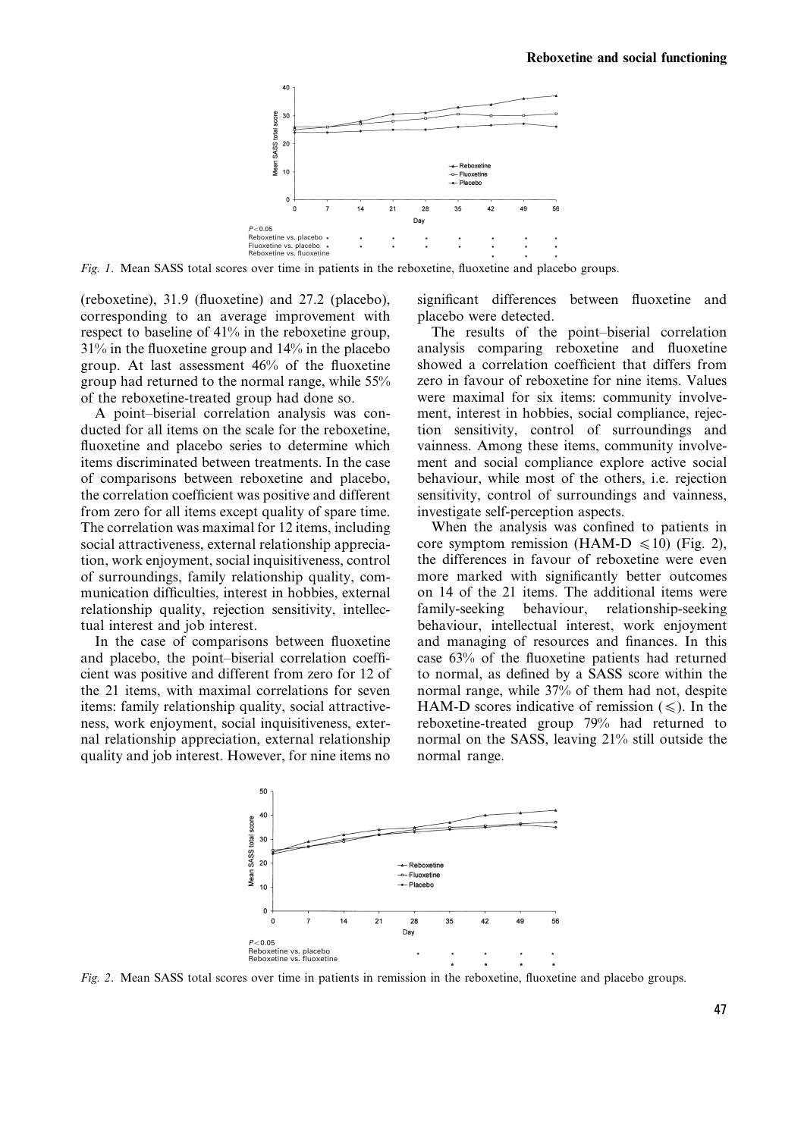

Fig. 1. Mean SASS total scores over time in patients in the reboxetine, fluoxetine and placebo groups.

(reboxetine),  $31.9$  (fluoxetine) and  $27.2$  (placebo), corresponding to an average improvement with respect to baseline of 41% in the reboxetine group,  $31\%$  in the fluoxetine group and  $14\%$  in the placebo group. At last assessment  $46%$  of the fluoxetine group had returned to the normal range, while 55% of the reboxetine-treated group had done so.

A point-biserial correlation analysis was conducted for all items on the scale for the reboxetine, fluoxetine and placebo series to determine which items discriminated between treatments. In the case of comparisons between reboxetine and placebo, the correlation coefficient was positive and different from zero for all items except quality of spare time. The correlation was maximal for 12 items, including social attractiveness, external relationship appreciation, work enjoyment, social inquisitiveness, control of surroundings, family relationship quality, communication difficulties, interest in hobbies, external relationship quality, rejection sensitivity, intellectual interest and job interest.

In the case of comparisons between fluoxetine and placebo, the point-biserial correlation coefficient was positive and different from zero for 12 of the 21 items, with maximal correlations for seven items: family relationship quality, social attractiveness, work enjoyment, social inquisitiveness, external relationship appreciation, external relationship quality and job interest. However, for nine items no significant differences between fluoxetine and placebo were detected.

The results of the point-biserial correlation analysis comparing reboxetine and fluoxetine showed a correlation coefficient that differs from zero in favour of reboxetine for nine items. Values were maximal for six items: community involvement, interest in hobbies, social compliance, rejection sensitivity, control of surroundings and vainness. Among these items, community involvement and social compliance explore active social behaviour, while most of the others, i.e. rejection sensitivity, control of surroundings and vainness, investigate self-perception aspects.

When the analysis was confined to patients in core symptom remission (HAM-D  $\leq 10$ ) (Fig. 2), the differences in favour of reboxetine were even more marked with significantly better outcomes on 14 of the 21 items. The additional items were family-seeking behaviour, relationship-seeking behaviour, intellectual interest, work enjoyment and managing of resources and finances. In this case  $63\%$  of the fluoxetine patients had returned to normal, as defined by a SASS score within the normal range, while 37% of them had not, despite HAM-D scores indicative of remission  $(\le)$ . In the reboxetine-treated group 79% had returned to normal on the SASS, leaving 21% still outside the normal range.



Fig. 2. Mean SASS total scores over time in patients in remission in the reboxetine, fluoxetine and placebo groups.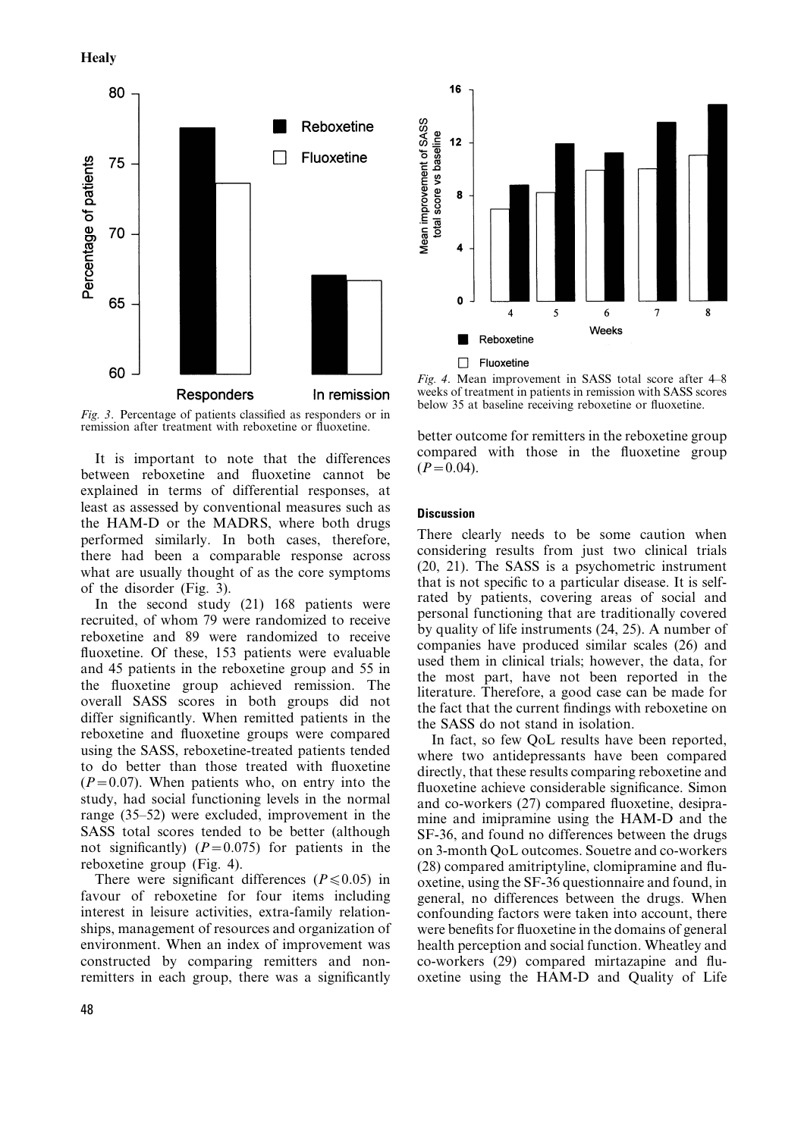



Fig. 3. Percentage of patients classified as responders or in remission after treatment with reboxetine or fluoxetine.

It is important to note that the differences between reboxetine and fluoxetine cannot be explained in terms of differential responses, at least as assessed by conventional measures such as the HAM-D or the MADRS, where both drugs performed similarly. In both cases, therefore, there had been a comparable response across what are usually thought of as the core symptoms of the disorder (Fig. 3).

In the second study (21) 168 patients were recruited, of whom 79 were randomized to receive reboxetine and 89 were randomized to receive fluoxetine. Of these, 153 patients were evaluable and 45 patients in the reboxetine group and 55 in the fluoxetine group achieved remission. The overall SASS scores in both groups did not differ significantly. When remitted patients in the reboxetine and fluoxetine groups were compared using the SASS, reboxetine-treated patients tended to do better than those treated with fluoxetine  $(P=0.07)$ . When patients who, on entry into the study, had social functioning levels in the normal range  $(35-52)$  were excluded, improvement in the SASS total scores tended to be better (although not significantly) ( $P=0.075$ ) for patients in the reboxetine group (Fig. 4).

There were significant differences ( $P \le 0.05$ ) in favour of reboxetine for four items including interest in leisure activities, extra-family relationships, management of resources and organization of environment. When an index of improvement was constructed by comparing remitters and nonremitters in each group, there was a significantly



Fig. 4. Mean improvement in SASS total score after  $4-8$ weeks of treatment in patients in remission with SASS scores below 35 at baseline receiving reboxetine or fluoxetine.

better outcome for remitters in the reboxetine group compared with those in the fluoxetine group  $(P=0.04)$ .

#### **Discussion**

There clearly needs to be some caution when considering results from just two clinical trials (20, 21). The SASS is a psychometric instrument that is not specific to a particular disease. It is selfrated by patients, covering areas of social and personal functioning that are traditionally covered by quality of life instruments (24, 25). A number of companies have produced similar scales (26) and used them in clinical trials; however, the data, for the most part, have not been reported in the literature. Therefore, a good case can be made for the fact that the current findings with reboxetine on the SASS do not stand in isolation.

In fact, so few QoL results have been reported, where two antidepressants have been compared directly, that these results comparing reboxetine and fluoxetine achieve considerable significance. Simon and co-workers  $(27)$  compared fluoxetine, desipramine and imipramine using the HAM-D and the SF-36, and found no differences between the drugs on 3-month QoL outcomes. Souetre and co-workers  $(28)$  compared amitriptyline, clomipramine and fluoxetine, using the SF-36 questionnaire and found, in general, no differences between the drugs. When confounding factors were taken into account, there were benefits for fluoxetine in the domains of general health perception and social function. Wheatley and  $co$ -workers  $(29)$  compared mirtazapine and fluoxetine using the HAM-D and Quality of Life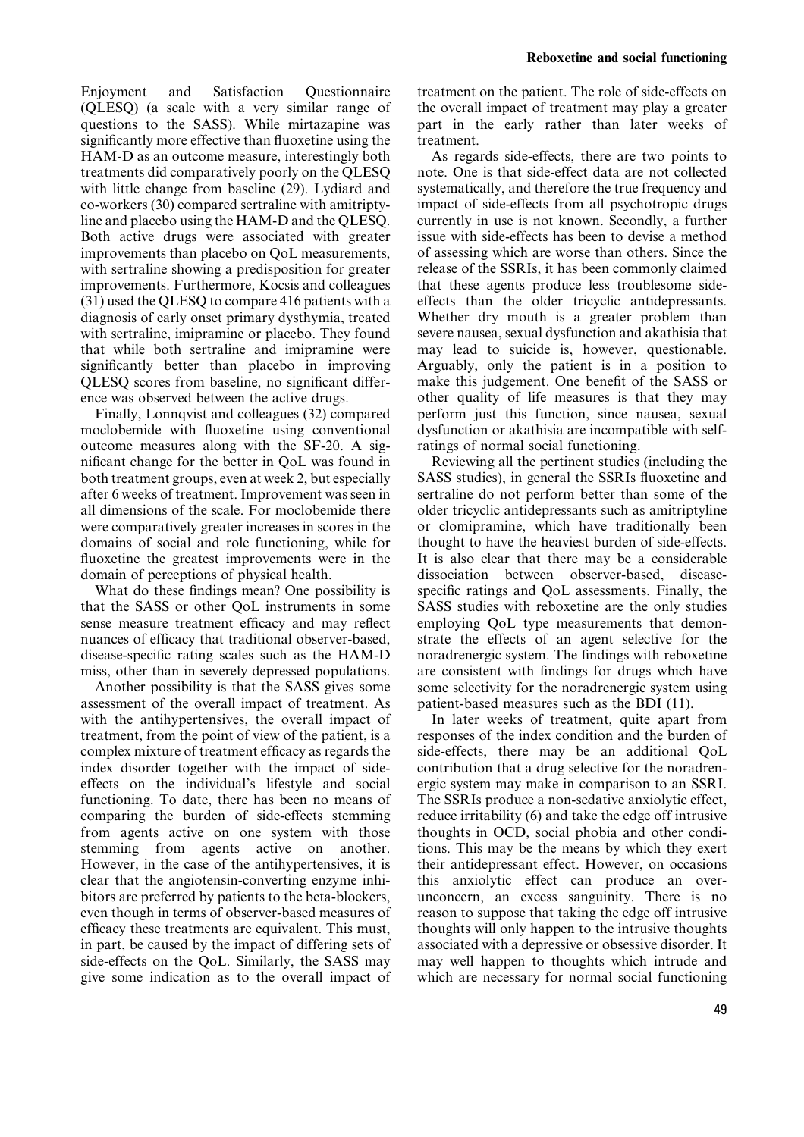Enjoyment and Satisfaction Questionnaire (QLESQ) (a scale with a very similar range of questions to the SASS). While mirtazapine was significantly more effective than fluoxetine using the HAM-D as an outcome measure, interestingly both treatments did comparatively poorly on the QLESQ with little change from baseline (29). Lydiard and co-workers (30) compared sertraline with amitriptyline and placebo using the HAM-D and the QLESQ. Both active drugs were associated with greater improvements than placebo on QoL measurements, with sertraline showing a predisposition for greater improvements. Furthermore, Kocsis and colleagues (31) used the QLESQ to compare 416 patients with a diagnosis of early onset primary dysthymia, treated with sertraline, imipramine or placebo. They found that while both sertraline and imipramine were significantly better than placebo in improving QLESO scores from baseline, no significant difference was observed between the active drugs.

Finally, Lonnqvist and colleagues (32) compared moclobemide with fluoxetine using conventional outcome measures along with the SF-20. A significant change for the better in OoL was found in both treatment groups, even at week 2, but especially after 6 weeks of treatment. Improvement was seen in all dimensions of the scale. For moclobemide there were comparatively greater increases in scores in the domains of social and role functioning, while for fluoxetine the greatest improvements were in the domain of perceptions of physical health.

What do these findings mean? One possibility is that the SASS or other QoL instruments in some sense measure treatment efficacy and may reflect nuances of efficacy that traditional observer-based, disease-specific rating scales such as the HAM-D miss, other than in severely depressed populations.

Another possibility is that the SASS gives some assessment of the overall impact of treatment. As with the antihypertensives, the overall impact of treatment, from the point of view of the patient, is a complex mixture of treatment efficacy as regards the index disorder together with the impact of sideeffects on the individual's lifestyle and social functioning. To date, there has been no means of comparing the burden of side-effects stemming from agents active on one system with those stemming from agents active on another. However, in the case of the antihypertensives, it is clear that the angiotensin-converting enzyme inhibitors are preferred by patients to the beta-blockers, even though in terms of observer-based measures of efficacy these treatments are equivalent. This must, in part, be caused by the impact of differing sets of side-effects on the QoL. Similarly, the SASS may give some indication as to the overall impact of

treatment on the patient. The role of side-effects on the overall impact of treatment may play a greater part in the early rather than later weeks of treatment.

As regards side-effects, there are two points to note. One is that side-effect data are not collected systematically, and therefore the true frequency and impact of side-effects from all psychotropic drugs currently in use is not known. Secondly, a further issue with side-effects has been to devise a method of assessing which are worse than others. Since the release of the SSRIs, it has been commonly claimed that these agents produce less troublesome sideeffects than the older tricyclic antidepressants. Whether dry mouth is a greater problem than severe nausea, sexual dysfunction and akathisia that may lead to suicide is, however, questionable. Arguably, only the patient is in a position to make this judgement. One benefit of the SASS or other quality of life measures is that they may perform just this function, since nausea, sexual dysfunction or akathisia are incompatible with selfratings of normal social functioning.

Reviewing all the pertinent studies (including the SASS studies), in general the SSRIs fluoxetine and sertraline do not perform better than some of the older tricyclic antidepressants such as amitriptyline or clomipramine, which have traditionally been thought to have the heaviest burden of side-effects. It is also clear that there may be a considerable dissociation between observer-based, diseasespecific ratings and OoL assessments. Finally, the SASS studies with reboxetine are the only studies employing QoL type measurements that demonstrate the effects of an agent selective for the noradrenergic system. The findings with reboxetine are consistent with findings for drugs which have some selectivity for the noradrenergic system using patient-based measures such as the BDI (11).

In later weeks of treatment, quite apart from responses of the index condition and the burden of side-effects, there may be an additional QoL contribution that a drug selective for the noradrenergic system may make in comparison to an SSRI. The SSRIs produce a non-sedative anxiolytic effect, reduce irritability (6) and take the edge off intrusive thoughts in OCD, social phobia and other conditions. This may be the means by which they exert their antidepressant effect. However, on occasions this anxiolytic effect can produce an overunconcern, an excess sanguinity. There is no reason to suppose that taking the edge off intrusive thoughts will only happen to the intrusive thoughts associated with a depressive or obsessive disorder. It may well happen to thoughts which intrude and which are necessary for normal social functioning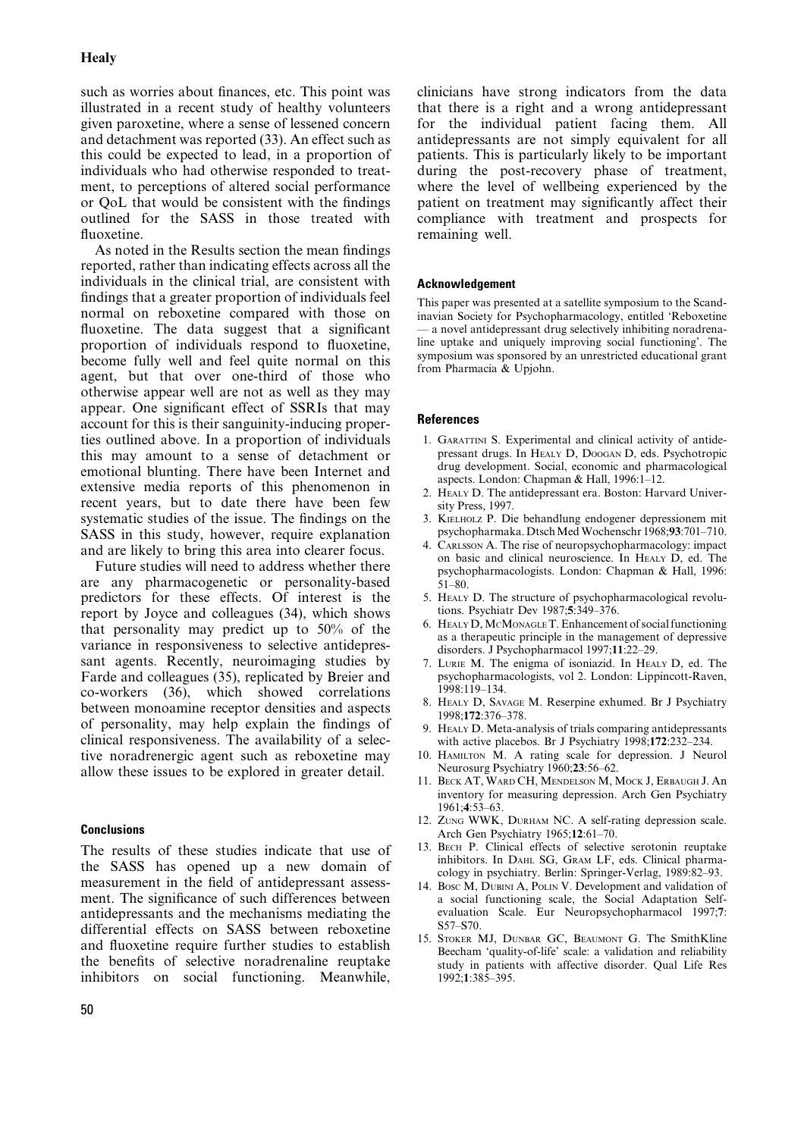# **Healy**

such as worries about finances, etc. This point was illustrated in a recent study of healthy volunteers given paroxetine, where a sense of lessened concern and detachment was reported (33). An effect such as this could be expected to lead, in a proportion of individuals who had otherwise responded to treatment, to perceptions of altered social performance or OoL that would be consistent with the findings outlined for the SASS in those treated with fluoxetine.

As noted in the Results section the mean findings reported, rather than indicating effects across all the individuals in the clinical trial, are consistent with findings that a greater proportion of individuals feel normal on reboxetine compared with those on fluoxetine. The data suggest that a significant proportion of individuals respond to fluoxetine, become fully well and feel quite normal on this agent, but that over one-third of those who otherwise appear well are not as well as they may appear. One significant effect of SSRIs that may account for this is their sanguinity-inducing properties outlined above. In a proportion of individuals this may amount to a sense of detachment or emotional blunting. There have been Internet and extensive media reports of this phenomenon in recent years, but to date there have been few systematic studies of the issue. The findings on the SASS in this study, however, require explanation and are likely to bring this area into clearer focus.

Future studies will need to address whether there are any pharmacogenetic or personality-based predictors for these effects. Of interest is the report by Joyce and colleagues (34), which shows that personality may predict up to 50% of the variance in responsiveness to selective antidepressant agents. Recently, neuroimaging studies by Farde and colleagues (35), replicated by Breier and co-workers (36), which showed correlations between monoamine receptor densities and aspects of personality, may help explain the findings of clinical responsiveness. The availability of a selective noradrenergic agent such as reboxetine may allow these issues to be explored in greater detail.

# **Conclusions**

The results of these studies indicate that use of the SASS has opened up a new domain of measurement in the field of antidepressant assessment. The significance of such differences between antidepressants and the mechanisms mediating the differential effects on SASS between reboxetine and fluoxetine require further studies to establish the benefits of selective noradrenaline reuptake inhibitors on social functioning. Meanwhile, clinicians have strong indicators from the data that there is a right and a wrong antidepressant for the individual patient facing them. All antidepressants are not simply equivalent for all patients. This is particularly likely to be important during the post-recovery phase of treatment, where the level of wellbeing experienced by the patient on treatment may significantly affect their compliance with treatment and prospects for remaining well.

# Acknowledgement

This paper was presented at a satellite symposium to the Scandinavian Society for Psychopharmacology, entitled `Reboxetine - a novel antidepressant drug selectively inhibiting noradrenaline uptake and uniquely improving social functioning'. The symposium was sponsored by an unrestricted educational grant from Pharmacia & Upjohn.

### References

- 1. GARATTINI S. Experimental and clinical activity of antidepressant drugs. In HEALY D, DOOGAN D, eds. Psychotropic drug development. Social, economic and pharmacological aspects. London: Chapman & Hall, 1996:1-12.
- 2. HEALY D. The antidepressant era. Boston: Harvard University Press, 1997.
- 3. KIELHOLZ P. Die behandlung endogener depressionem mit psychopharmaka. Dtsch Med Wochenschr 1968;93:701-710.
- 4. CARLSSON A. The rise of neuropsychopharmacology: impact on basic and clinical neuroscience. In HEALY D, ed. The psychopharmacologists. London: Chapman & Hall, 1996:  $51 - 80.$
- 5. HEALY D. The structure of psychopharmacological revolutions. Psychiatr Dev  $1987:5:349-376$ .
- 6. HEALY D,MCMONAGLE T. Enhancement of social functioning as a therapeutic principle in the management of depressive disorders. J Psychopharmacol 1997;11:22-29.
- 7. LURIE M. The enigma of isoniazid. In HEALY D, ed. The psychopharmacologists, vol 2. London: Lippincott-Raven, 1998:119±134.
- 8. HEALY D, SAVAGE M. Reserpine exhumed. Br J Psychiatry 1998;172:376-378.
- 9. HEALY D. Meta-analysis of trials comparing antidepressants with active placebos. Br J Psychiatry 1998;172:232-234.
- 10. HAMILTON M. A rating scale for depression. J Neurol Neurosurg Psychiatry 1960;23:56-62.
- 11. BECK AT, WARD CH, MENDELSON M, MOCK J, ERBAUGH J. An inventory for measuring depression. Arch Gen Psychiatry 1961;4:53±63.
- 12. ZUNG WWK, DURHAM NC. A self-rating depression scale. Arch Gen Psychiatry  $1965;12:61-70$ .
- 13. BECH P. Clinical effects of selective serotonin reuptake inhibitors. In DAHL SG, GRAM LF, eds. Clinical pharmacology in psychiatry. Berlin: Springer-Verlag, 1989:82-93.
- 14. BOSC M, DUBINI A, POLIN V. Development and validation of a social functioning scale, the Social Adaptation Selfevaluation Scale. Eur Neuropsychopharmacol 1997;7: S57-S70.
- 15. STOKER MJ, DUNBAR GC, BEAUMONT G. The SmithKline Beecham 'quality-of-life' scale: a validation and reliability study in patients with affective disorder. Qual Life Res 1992;1:385±395.